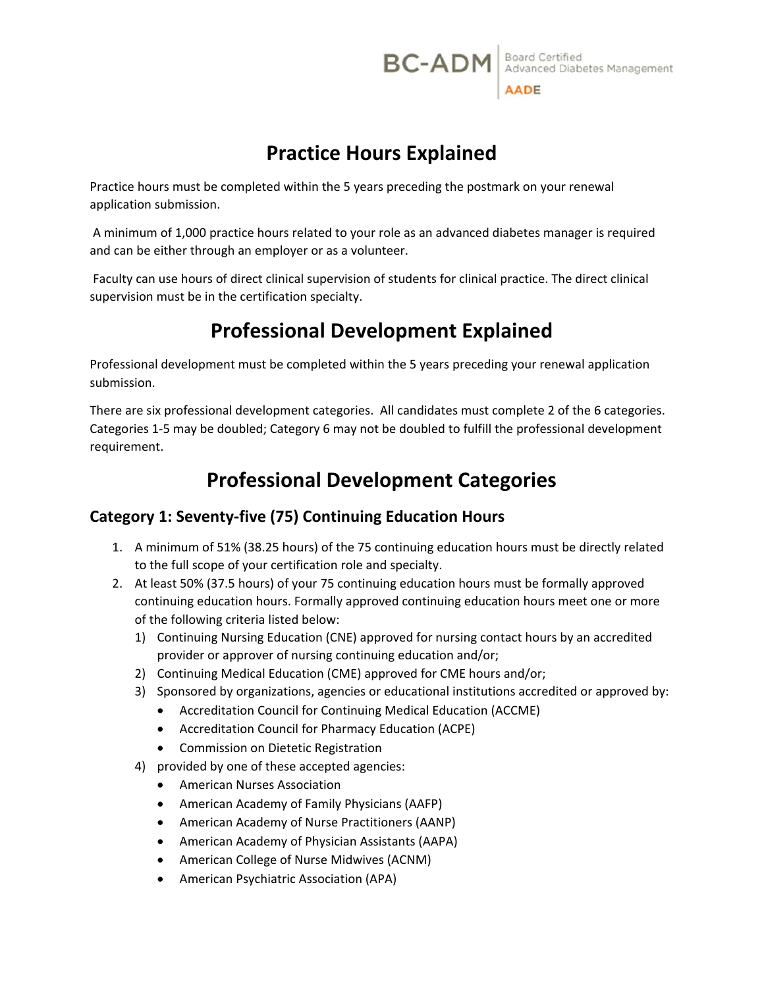# **Practice Hours Explained**

Practice hours must be completed within the 5 years preceding the postmark on your renewal application submission.

 A minimum of 1,000 practice hours related to your role as an advanced diabetes manager is required and can be either through an employer or as a volunteer.

 Faculty can use hours of direct clinical supervision of students for clinical practice. The direct clinical supervision must be in the certification specialty.

# **Professional Development Explained**

Professional development must be completed within the 5 years preceding your renewal application submission.

There are six professional development categories. All candidates must complete 2 of the 6 categories. Categories 1‐5 may be doubled; Category 6 may not be doubled to fulfill the professional development requirement.

# **Professional Development Categories**

# **Category 1: Seventy‐five (75) Continuing Education Hours**

- 1. A minimum of 51% (38.25 hours) of the 75 continuing education hours must be directly related to the full scope of your certification role and specialty.
- 2. At least 50% (37.5 hours) of your 75 continuing education hours must be formally approved continuing education hours. Formally approved continuing education hours meet one or more of the following criteria listed below:
	- 1) Continuing Nursing Education (CNE) approved for nursing contact hours by an accredited provider or approver of nursing continuing education and/or;
	- 2) Continuing Medical Education (CME) approved for CME hours and/or;
	- 3) Sponsored by organizations, agencies or educational institutions accredited or approved by:
		- Accreditation Council for Continuing Medical Education (ACCME)
		- Accreditation Council for Pharmacy Education (ACPE)
		- **•** Commission on Dietetic Registration
	- 4) provided by one of these accepted agencies:
		- American Nurses Association
		- American Academy of Family Physicians (AAFP)
		- American Academy of Nurse Practitioners (AANP)
		- American Academy of Physician Assistants (AAPA)
		- American College of Nurse Midwives (ACNM)
		- American Psychiatric Association (APA)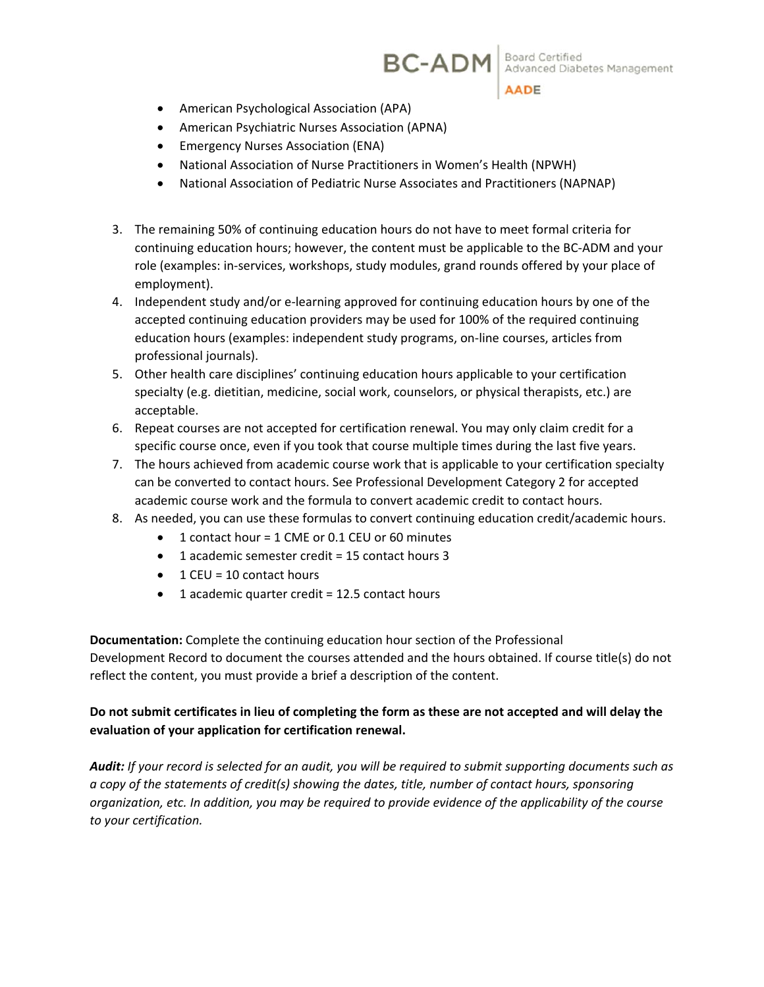**BC-ADM** Advanced Diabetes Management



- American Psychological Association (APA)
- American Psychiatric Nurses Association (APNA)
- **•** Emergency Nurses Association (ENA)
- National Association of Nurse Practitioners in Women's Health (NPWH)
- National Association of Pediatric Nurse Associates and Practitioners (NAPNAP)
- 3. The remaining 50% of continuing education hours do not have to meet formal criteria for continuing education hours; however, the content must be applicable to the BC‐ADM and your role (examples: in‐services, workshops, study modules, grand rounds offered by your place of employment).
- 4. Independent study and/or e-learning approved for continuing education hours by one of the accepted continuing education providers may be used for 100% of the required continuing education hours (examples: independent study programs, on‐line courses, articles from professional journals).
- 5. Other health care disciplines' continuing education hours applicable to your certification specialty (e.g. dietitian, medicine, social work, counselors, or physical therapists, etc.) are acceptable.
- 6. Repeat courses are not accepted for certification renewal. You may only claim credit for a specific course once, even if you took that course multiple times during the last five years.
- 7. The hours achieved from academic course work that is applicable to your certification specialty can be converted to contact hours. See Professional Development Category 2 for accepted academic course work and the formula to convert academic credit to contact hours.
- 8. As needed, you can use these formulas to convert continuing education credit/academic hours.
	- 1 contact hour = 1 CME or 0.1 CEU or 60 minutes
	- 1 academic semester credit = 15 contact hours 3
	- $\bullet$  1 CEU = 10 contact hours
	- 1 academic quarter credit = 12.5 contact hours

**Documentation:** Complete the continuing education hour section of the Professional Development Record to document the courses attended and the hours obtained. If course title(s) do not reflect the content, you must provide a brief a description of the content.

#### **Do not submit certificates in lieu of completing the form as these are not accepted and will delay the evaluation of your application for certification renewal.**

*Audit: If your record is selected for an audit, you will be required to submit supporting documents such as a copy of the statements of credit(s) showing the dates, title, number of contact hours, sponsoring organization, etc. In addition, you may be required to provide evidence of the applicability of the course to your certification.*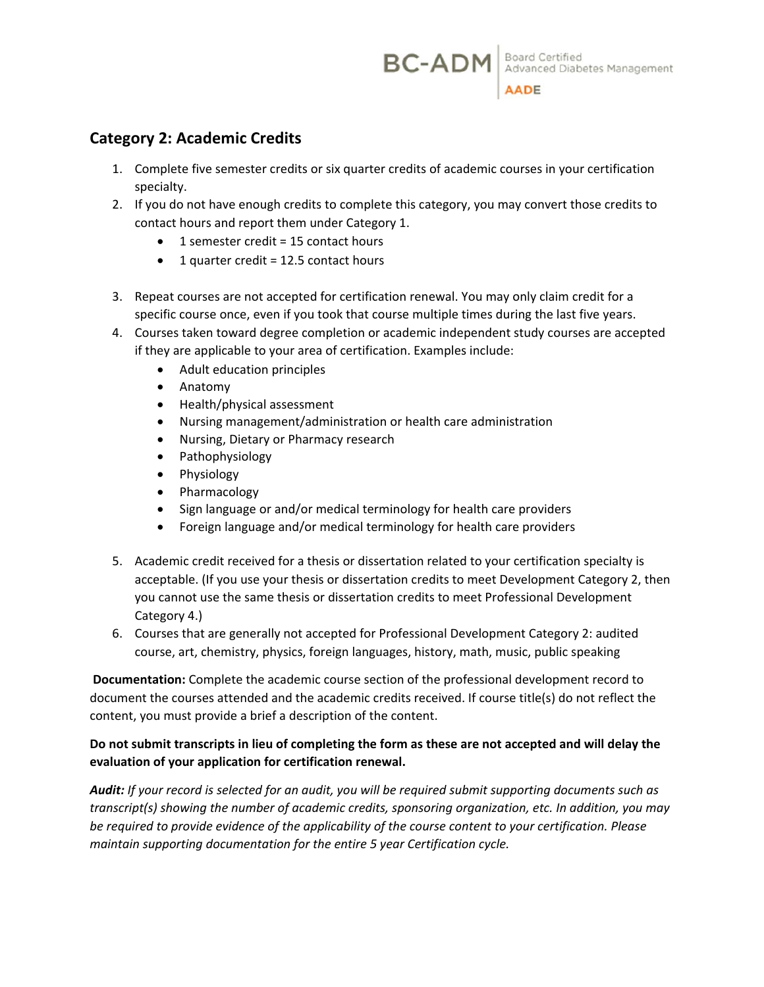## **Category 2: Academic Credits**

- 1. Complete five semester credits or six quarter credits of academic courses in your certification specialty.
- 2. If you do not have enough credits to complete this category, you may convert those credits to contact hours and report them under Category 1.
	- $\bullet$  1 semester credit = 15 contact hours
	- $\bullet$  1 quarter credit = 12.5 contact hours
- 3. Repeat courses are not accepted for certification renewal. You may only claim credit for a specific course once, even if you took that course multiple times during the last five years.
- 4. Courses taken toward degree completion or academic independent study courses are accepted if they are applicable to your area of certification. Examples include:
	- Adult education principles
	- Anatomy
	- Health/physical assessment
	- Nursing management/administration or health care administration
	- Nursing, Dietary or Pharmacy research
	- Pathophysiology
	- Physiology
	- Pharmacology
	- Sign language or and/or medical terminology for health care providers
	- Foreign language and/or medical terminology for health care providers
- 5. Academic credit received for a thesis or dissertation related to your certification specialty is acceptable. (If you use your thesis or dissertation credits to meet Development Category 2, then you cannot use the same thesis or dissertation credits to meet Professional Development Category 4.)
- 6. Courses that are generally not accepted for Professional Development Category 2: audited course, art, chemistry, physics, foreign languages, history, math, music, public speaking

**Documentation:** Complete the academic course section of the professional development record to document the courses attended and the academic credits received. If course title(s) do not reflect the content, you must provide a brief a description of the content.

#### **Do not submit transcripts in lieu of completing the form as these are not accepted and will delay the evaluation of your application for certification renewal.**

*Audit: If your record is selected for an audit, you will be required submit supporting documents such as transcript(s) showing the number of academic credits, sponsoring organization, etc. In addition, you may be required to provide evidence of the applicability of the course content to your certification. Please maintain supporting documentation for the entire 5 year Certification cycle.*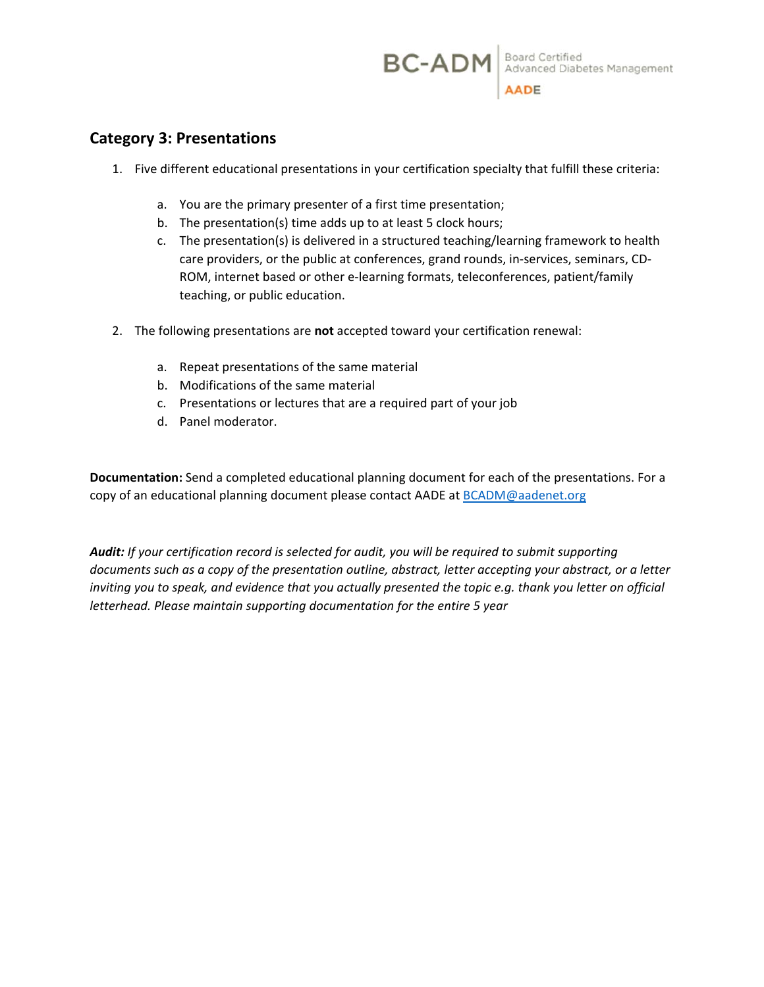## **Category 3: Presentations**

- 1. Five different educational presentations in your certification specialty that fulfill these criteria:
	- a. You are the primary presenter of a first time presentation;
	- b. The presentation(s) time adds up to at least 5 clock hours;
	- c. The presentation(s) is delivered in a structured teaching/learning framework to health care providers, or the public at conferences, grand rounds, in‐services, seminars, CD‐ ROM, internet based or other e‐learning formats, teleconferences, patient/family teaching, or public education.
- 2. The following presentations are **not** accepted toward your certification renewal:
	- a. Repeat presentations of the same material
	- b. Modifications of the same material
	- c. Presentations or lectures that are a required part of your job
	- d. Panel moderator.

**Documentation:** Send a completed educational planning document for each of the presentations. For a copy of an educational planning document please contact AADE at BCADM@aadenet.org

*Audit: If your certification record is selected for audit, you will be required to submit supporting documents such as a copy of the presentation outline, abstract, letter accepting your abstract, or a letter inviting you to speak, and evidence that you actually presented the topic e.g. thank you letter on official letterhead. Please maintain supporting documentation for the entire 5 year*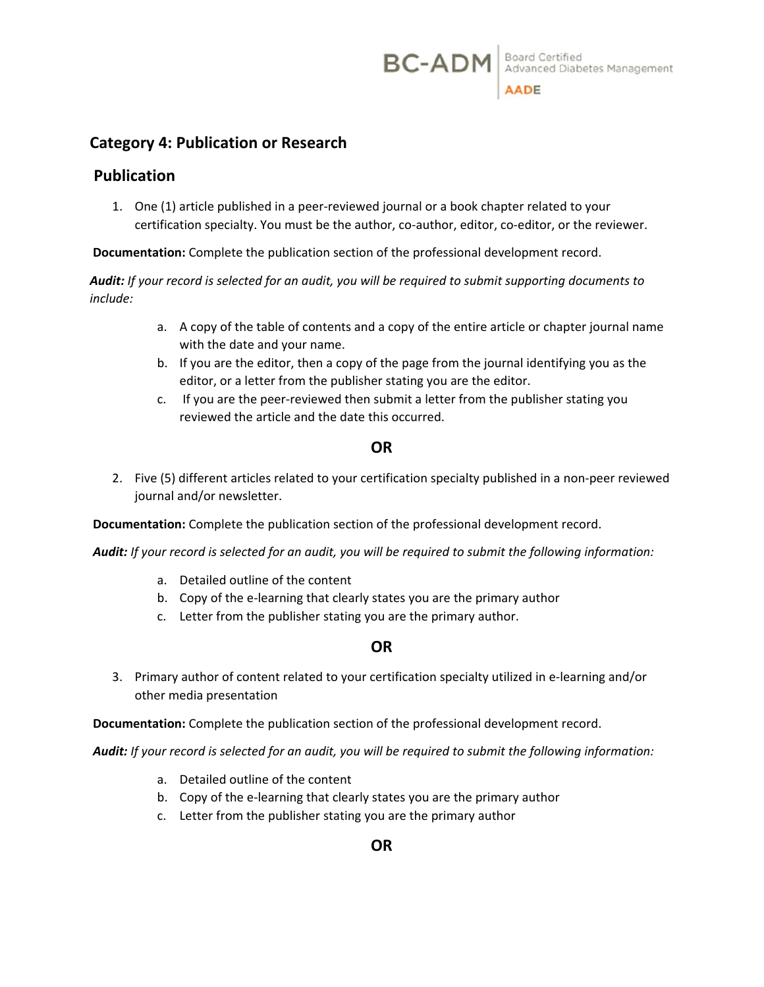**BC-ADM** Board Certified<br>Advanced Diabetes Management

## **Category 4: Publication or Research**

#### **Publication**

1. One (1) article published in a peer‐reviewed journal or a book chapter related to your certification specialty. You must be the author, co-author, editor, co-editor, or the reviewer.

**Documentation:** Complete the publication section of the professional development record.

*Audit: If your record is selected for an audit, you will be required to submit supporting documents to include:* 

- a. A copy of the table of contents and a copy of the entire article or chapter journal name with the date and your name.
- b. If you are the editor, then a copy of the page from the journal identifying you as the editor, or a letter from the publisher stating you are the editor.
- c. If you are the peer‐reviewed then submit a letter from the publisher stating you reviewed the article and the date this occurred.

#### **OR**

2. Five (5) different articles related to your certification specialty published in a non‐peer reviewed journal and/or newsletter.

 **Documentation:** Complete the publication section of the professional development record.

*Audit: If your record is selected for an audit, you will be required to submit the following information:* 

- a. Detailed outline of the content
- b. Copy of the e‐learning that clearly states you are the primary author
- c. Letter from the publisher stating you are the primary author.

#### **OR**

3. Primary author of content related to your certification specialty utilized in e‐learning and/or other media presentation

 **Documentation:** Complete the publication section of the professional development record.

 *Audit: If your record is selected for an audit, you will be required to submit the following information:* 

- a. Detailed outline of the content
- b. Copy of the e‐learning that clearly states you are the primary author
- c. Letter from the publisher stating you are the primary author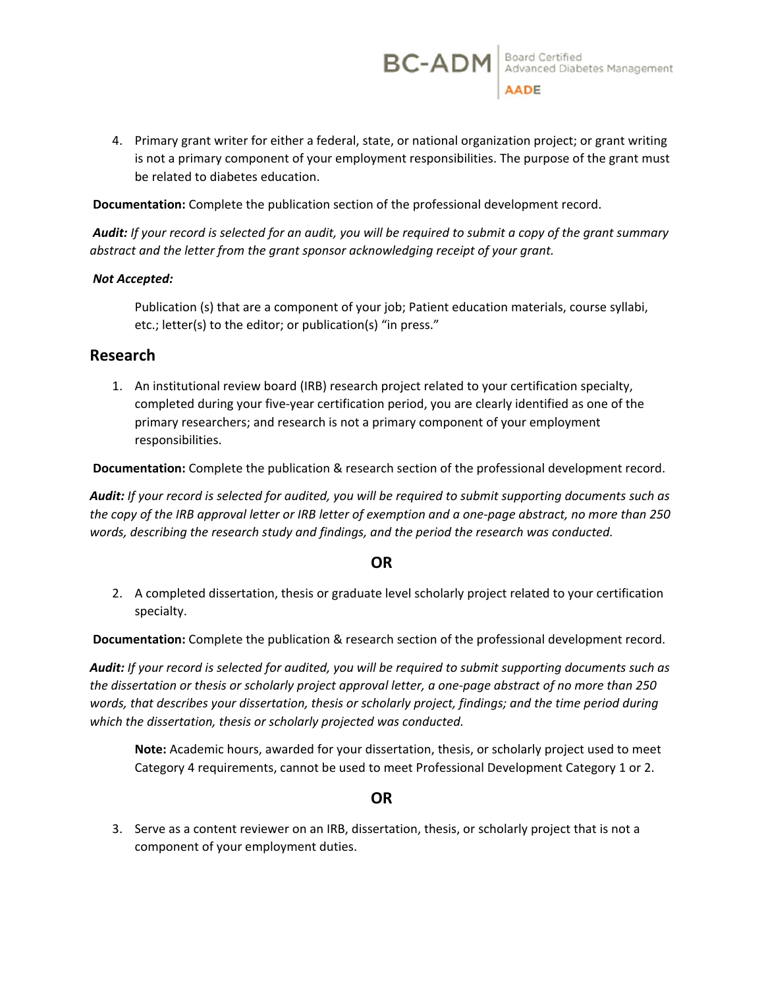4. Primary grant writer for either a federal, state, or national organization project; or grant writing is not a primary component of your employment responsibilities. The purpose of the grant must be related to diabetes education.

 **Documentation:** Complete the publication section of the professional development record.

 *Audit: If your record is selected for an audit, you will be required to submit a copy of the grant summary abstract and the letter from the grant sponsor acknowledging receipt of your grant.* 

#### *Not Accepted:*

Publication (s) that are a component of your job; Patient education materials, course syllabi, etc.; letter(s) to the editor; or publication(s) "in press."

#### **Research**

1. An institutional review board (IRB) research project related to your certification specialty, completed during your five‐year certification period, you are clearly identified as one of the primary researchers; and research is not a primary component of your employment responsibilities.

 **Documentation:** Complete the publication & research section of the professional development record.

*Audit: If your record is selected for audited, you will be required to submit supporting documents such as the copy of the IRB approval letter or IRB letter of exemption and a one‐page abstract, no more than 250 words, describing the research study and findings, and the period the research was conducted.* 

#### **OR**

2. A completed dissertation, thesis or graduate level scholarly project related to your certification specialty.

**Documentation:** Complete the publication & research section of the professional development record.

*Audit: If your record is selected for audited, you will be required to submit supporting documents such as the dissertation or thesis or scholarly project approval letter, a one‐page abstract of no more than 250 words, that describes your dissertation, thesis or scholarly project, findings; and the time period during which the dissertation, thesis or scholarly projected was conducted.* 

**Note:** Academic hours, awarded for your dissertation, thesis, or scholarly project used to meet Category 4 requirements, cannot be used to meet Professional Development Category 1 or 2.

#### **OR**

3. Serve as a content reviewer on an IRB, dissertation, thesis, or scholarly project that is not a component of your employment duties.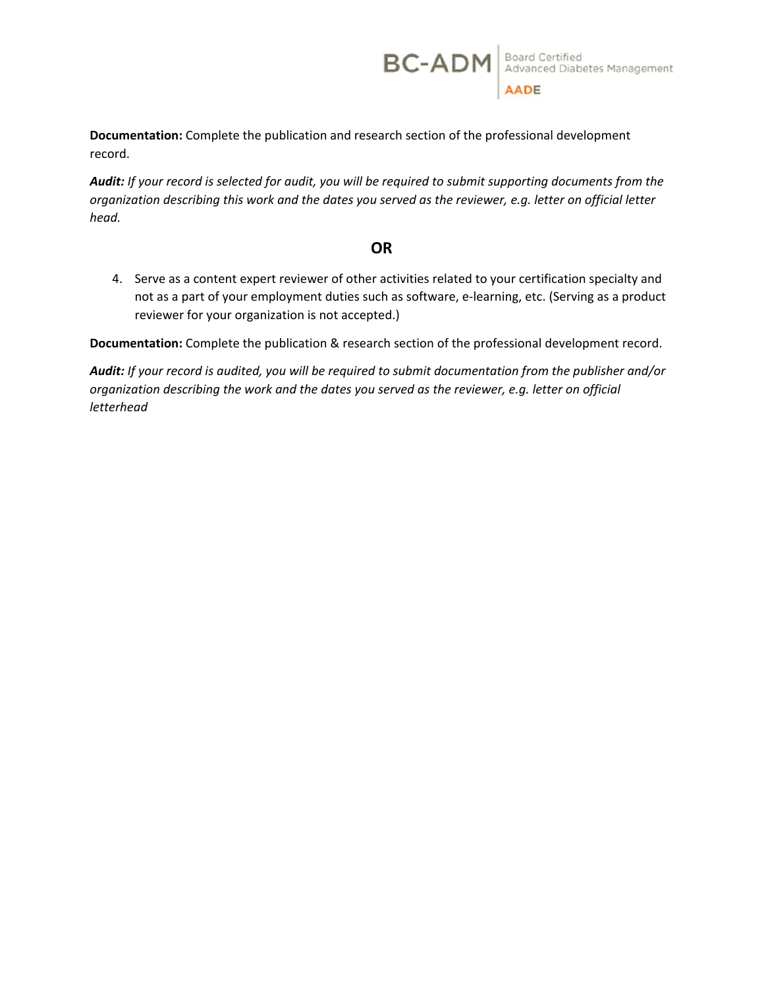**Documentation:** Complete the publication and research section of the professional development record.

*Audit: If your record is selected for audit, you will be required to submit supporting documents from the organization describing this work and the dates you served as the reviewer, e.g. letter on official letter head.* 

**BC-ADM** Board Certified<br>Advanced Diabetes Management AADE

### **OR**

4. Serve as a content expert reviewer of other activities related to your certification specialty and not as a part of your employment duties such as software, e‐learning, etc. (Serving as a product reviewer for your organization is not accepted.)

**Documentation:** Complete the publication & research section of the professional development record.

*Audit: If your record is audited, you will be required to submit documentation from the publisher and/or organization describing the work and the dates you served as the reviewer, e.g. letter on official letterhead*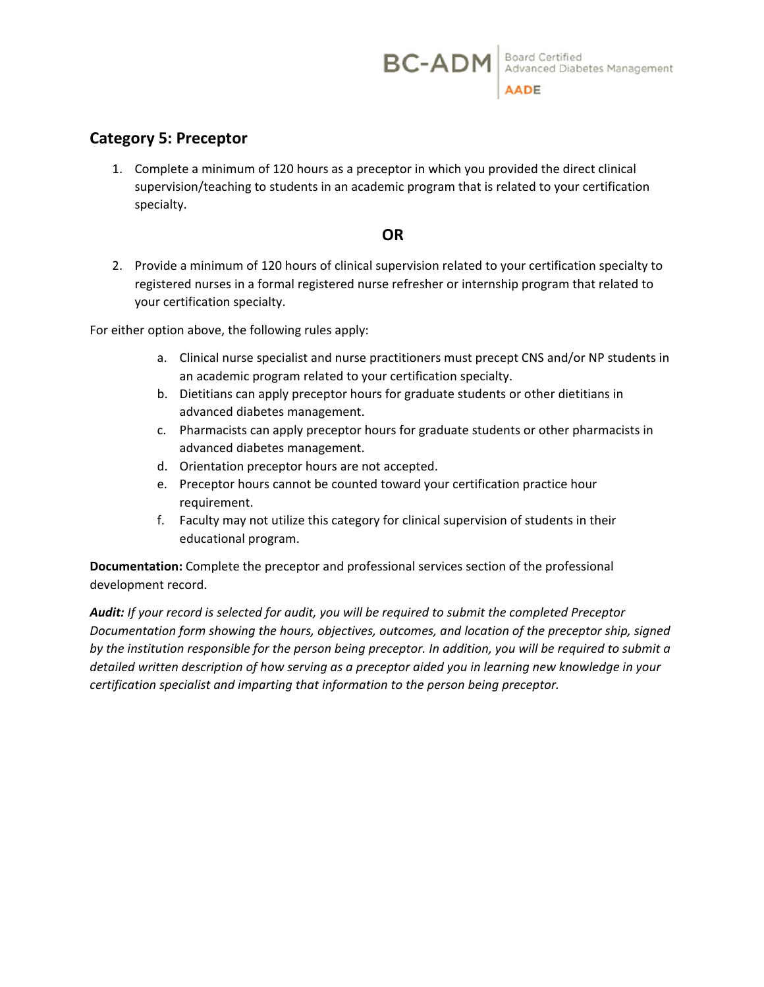## **Category 5: Preceptor**

1. Complete a minimum of 120 hours as a preceptor in which you provided the direct clinical supervision/teaching to students in an academic program that is related to your certification specialty.

### **OR**

2. Provide a minimum of 120 hours of clinical supervision related to your certification specialty to registered nurses in a formal registered nurse refresher or internship program that related to your certification specialty.

For either option above, the following rules apply:

- a. Clinical nurse specialist and nurse practitioners must precept CNS and/or NP students in an academic program related to your certification specialty.
- b. Dietitians can apply preceptor hours for graduate students or other dietitians in advanced diabetes management.
- c. Pharmacists can apply preceptor hours for graduate students or other pharmacists in advanced diabetes management.
- d. Orientation preceptor hours are not accepted.
- e. Preceptor hours cannot be counted toward your certification practice hour requirement.
- f. Faculty may not utilize this category for clinical supervision of students in their educational program.

**Documentation:** Complete the preceptor and professional services section of the professional development record.

*Audit: If your record is selected for audit, you will be required to submit the completed Preceptor Documentation form showing the hours, objectives, outcomes, and location of the preceptor ship, signed by the institution responsible for the person being preceptor. In addition, you will be required to submit a detailed written description of how serving as a preceptor aided you in learning new knowledge in your certification specialist and imparting that information to the person being preceptor.*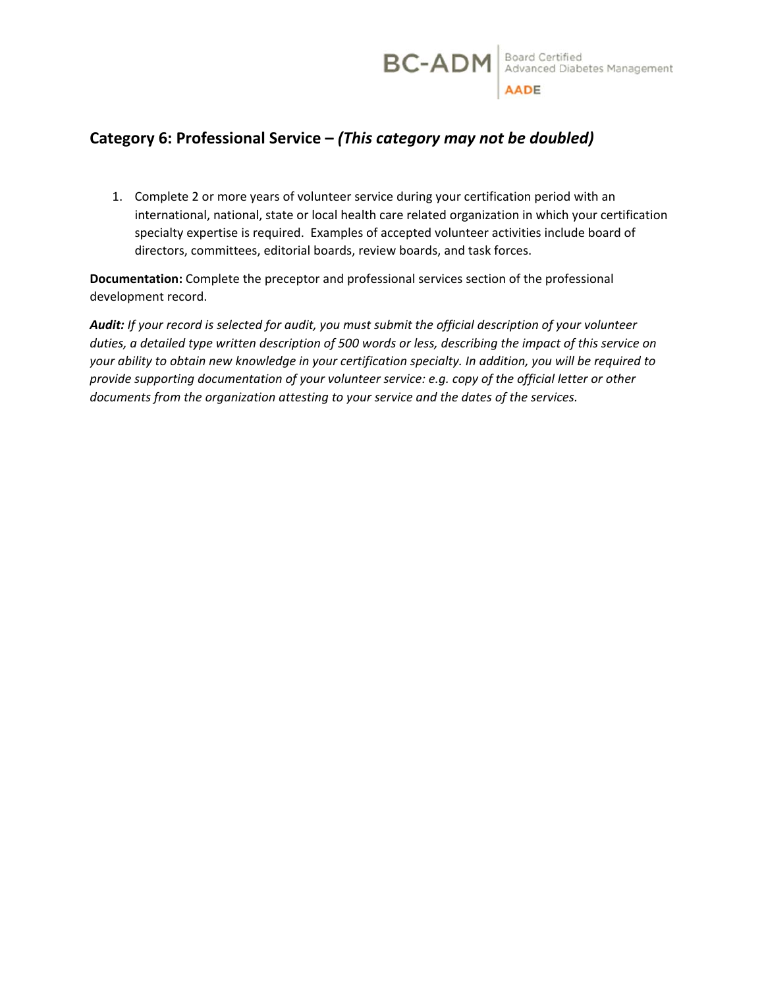## **Category 6: Professional Service –** *(This category may not be doubled)*

1. Complete 2 or more years of volunteer service during your certification period with an international, national, state or local health care related organization in which your certification specialty expertise is required. Examples of accepted volunteer activities include board of directors, committees, editorial boards, review boards, and task forces.

**Documentation:** Complete the preceptor and professional services section of the professional development record.

*Audit: If your record is selected for audit, you must submit the official description of your volunteer duties, a detailed type written description of 500 words or less, describing the impact of this service on your ability to obtain new knowledge in your certification specialty. In addition, you will be required to provide supporting documentation of your volunteer service: e.g. copy of the official letter or other documents from the organization attesting to your service and the dates of the services.*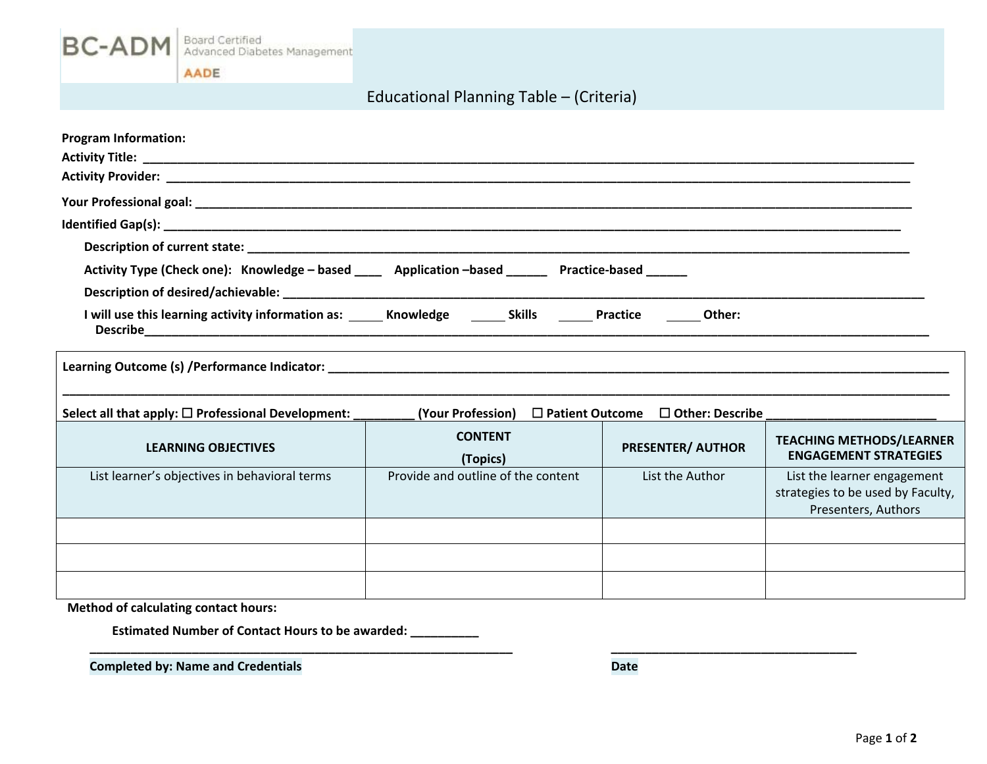

AADE

# Educational Planning Table – (Criteria)

| <b>Program Information:</b>                                                                                                                                                                                                   |                                    |                   |                          |                                                                                         |  |  |  |  |  |
|-------------------------------------------------------------------------------------------------------------------------------------------------------------------------------------------------------------------------------|------------------------------------|-------------------|--------------------------|-----------------------------------------------------------------------------------------|--|--|--|--|--|
|                                                                                                                                                                                                                               |                                    |                   |                          |                                                                                         |  |  |  |  |  |
|                                                                                                                                                                                                                               |                                    |                   |                          |                                                                                         |  |  |  |  |  |
|                                                                                                                                                                                                                               |                                    |                   |                          |                                                                                         |  |  |  |  |  |
| Activity Type (Check one): Knowledge - based ____ Application -based ______ Practice-based _____                                                                                                                              |                                    |                   |                          |                                                                                         |  |  |  |  |  |
|                                                                                                                                                                                                                               |                                    |                   |                          |                                                                                         |  |  |  |  |  |
| I will use this learning activity information as: ______ Knowledge _______ Skills<br><b>Practice</b><br>Other:                                                                                                                |                                    |                   |                          |                                                                                         |  |  |  |  |  |
| Learning Outcome (s) /Performance Indicator: Learning Communication of the Communication of the Communication of the Communication of the Communication of the Communication of the Communication of the Communication of the |                                    |                   |                          |                                                                                         |  |  |  |  |  |
| Select all that apply: $\square$ Professional Development:                                                                                                                                                                    | (Your Profession)                  | □ Patient Outcome | $\Box$ Other: Describe   |                                                                                         |  |  |  |  |  |
| <b>LEARNING OBJECTIVES</b>                                                                                                                                                                                                    | <b>CONTENT</b><br>(Topics)         |                   | <b>PRESENTER/ AUTHOR</b> | <b>TEACHING METHODS/LEARNER</b><br><b>ENGAGEMENT STRATEGIES</b>                         |  |  |  |  |  |
| List learner's objectives in behavioral terms                                                                                                                                                                                 | Provide and outline of the content |                   | List the Author          | List the learner engagement<br>strategies to be used by Faculty,<br>Presenters, Authors |  |  |  |  |  |
|                                                                                                                                                                                                                               |                                    |                   |                          |                                                                                         |  |  |  |  |  |
|                                                                                                                                                                                                                               |                                    |                   |                          |                                                                                         |  |  |  |  |  |
|                                                                                                                                                                                                                               |                                    |                   |                          |                                                                                         |  |  |  |  |  |

**\_\_\_\_\_\_\_\_\_\_\_\_\_\_\_\_\_\_\_\_\_\_\_\_\_\_\_\_\_\_\_\_\_\_\_\_\_\_\_\_\_\_\_\_\_\_\_\_\_\_\_\_\_\_\_\_\_\_\_\_\_\_ \_\_\_\_\_\_\_\_\_\_\_\_\_\_\_\_\_\_\_\_\_\_\_\_\_\_\_\_\_\_\_\_\_\_\_\_** 

**Method of calculating contact hours:** 

**Estimated Number of Contact Hours to be awarded: \_\_\_\_\_\_\_\_\_\_** 

**Completed by: Name and Credentials <b>COMPLETE ASSAULTER ASSAULTER COMPLETE ASSAULTER Date**